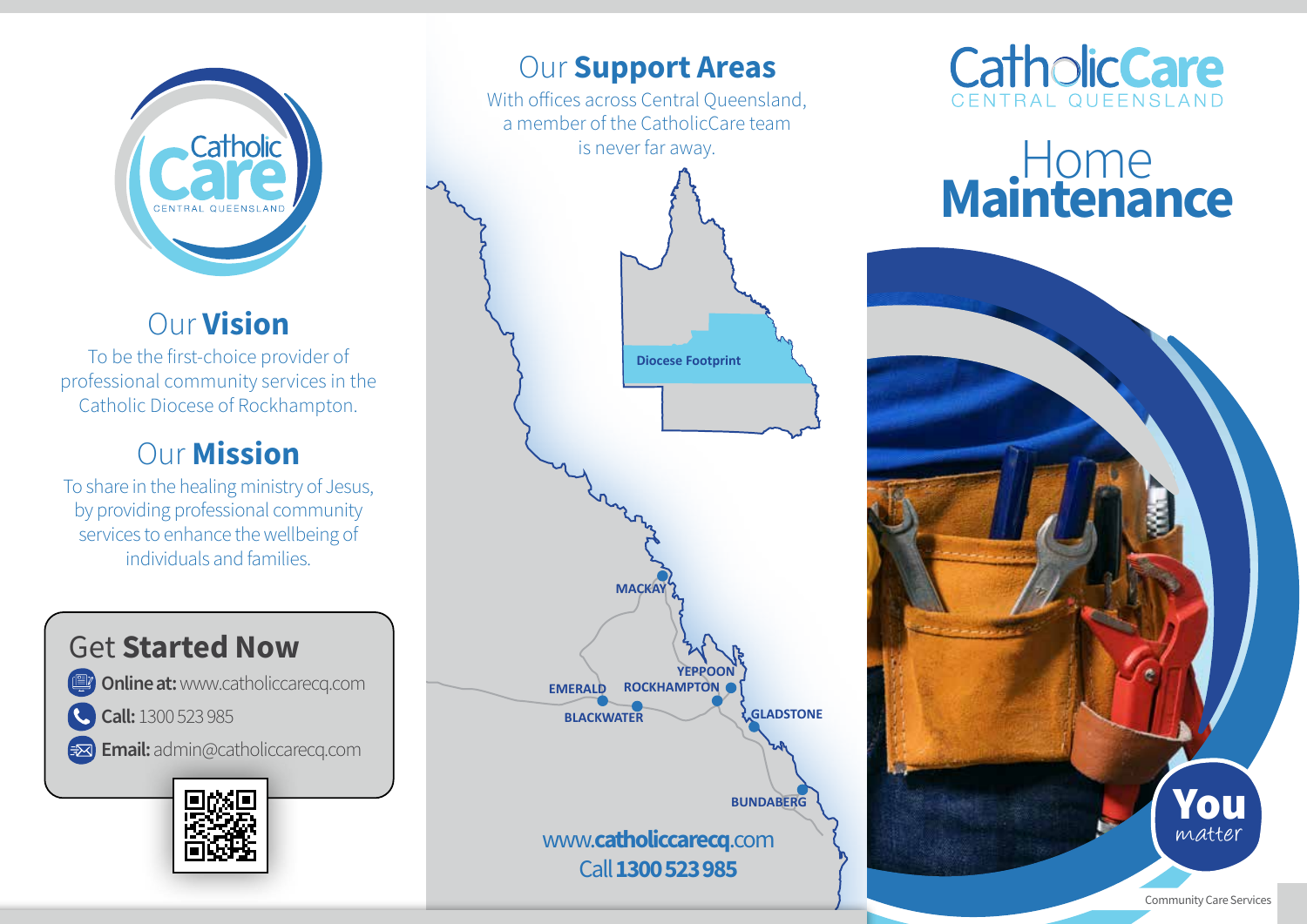

# Our Vision

To be the first-choice provider of professional community services in the Catholic Diocese of Rockhampton.

# Our Mission

To share in the healing ministry of Jesus, by providing professional community services to enhance the wellbeing of individuals and families.





# **Our Support Areas**

With offices across Central Queensland, a member of the CatholicCare team is never far away.





# Home<br>Maintenance